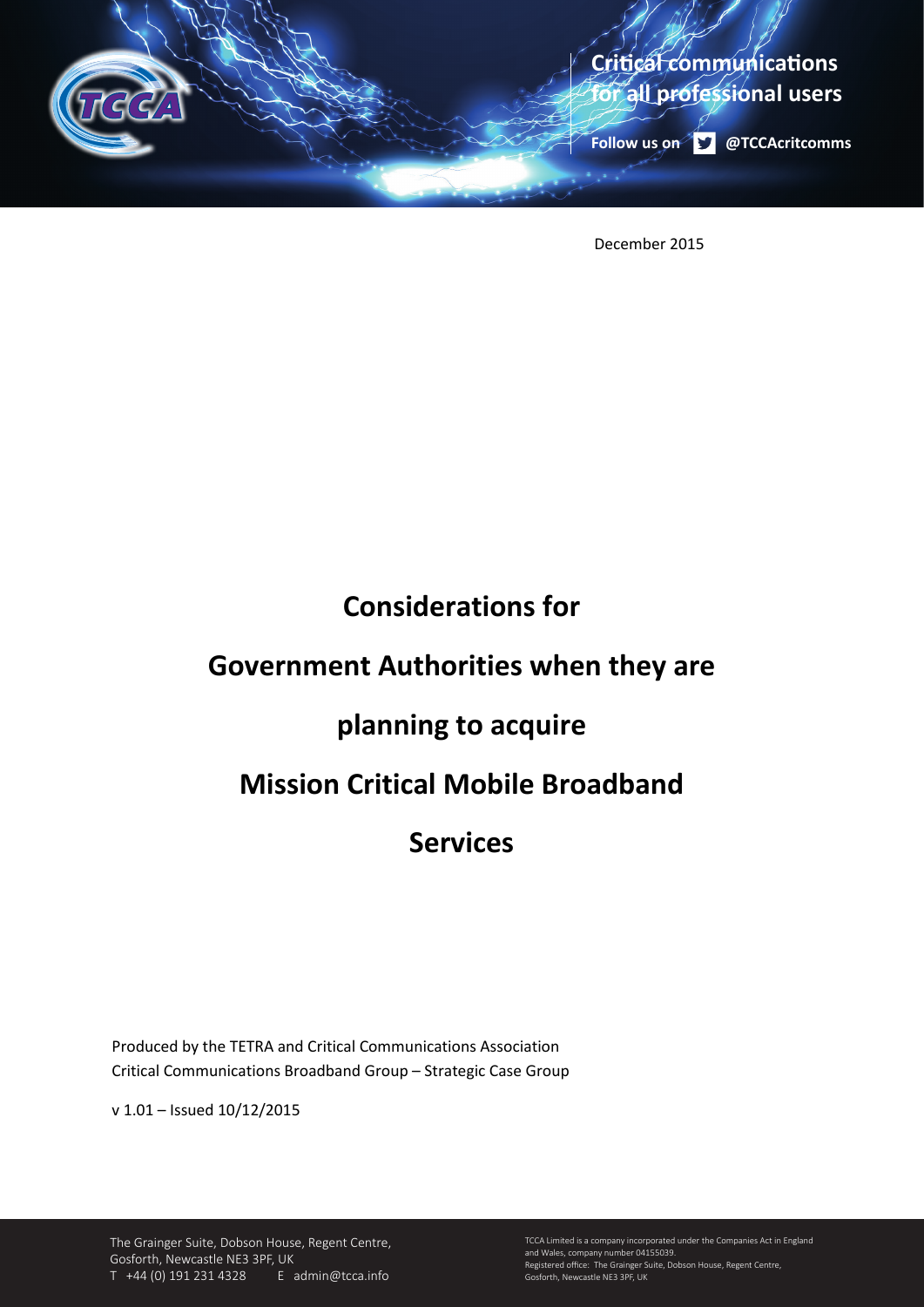

December 2015

# **Considerations for**

# **Government Authorities when they are**

# **planning to acquire**

# **Mission Critical Mobile Broadband**

# **Services**

Produced by the TETRA and Critical Communications Association Critical Communications Broadband Group – Strategic Case Group

v 1.01 – Issued 10/12/2015

The Grainger Suite, Dobson House, Regent Centre, Gosforth, Newcastle NE3 3PF, UK T +44 (0) 191 231 4328 E admin@tcca.info

TCCA Limited is a company incorporated under the Companies Act in England and Wales, company number 04155039. Registered office: The Grainger Suite, Dobson House, Regent Centre, Gosforth, Newcastle NE3 3PF, UK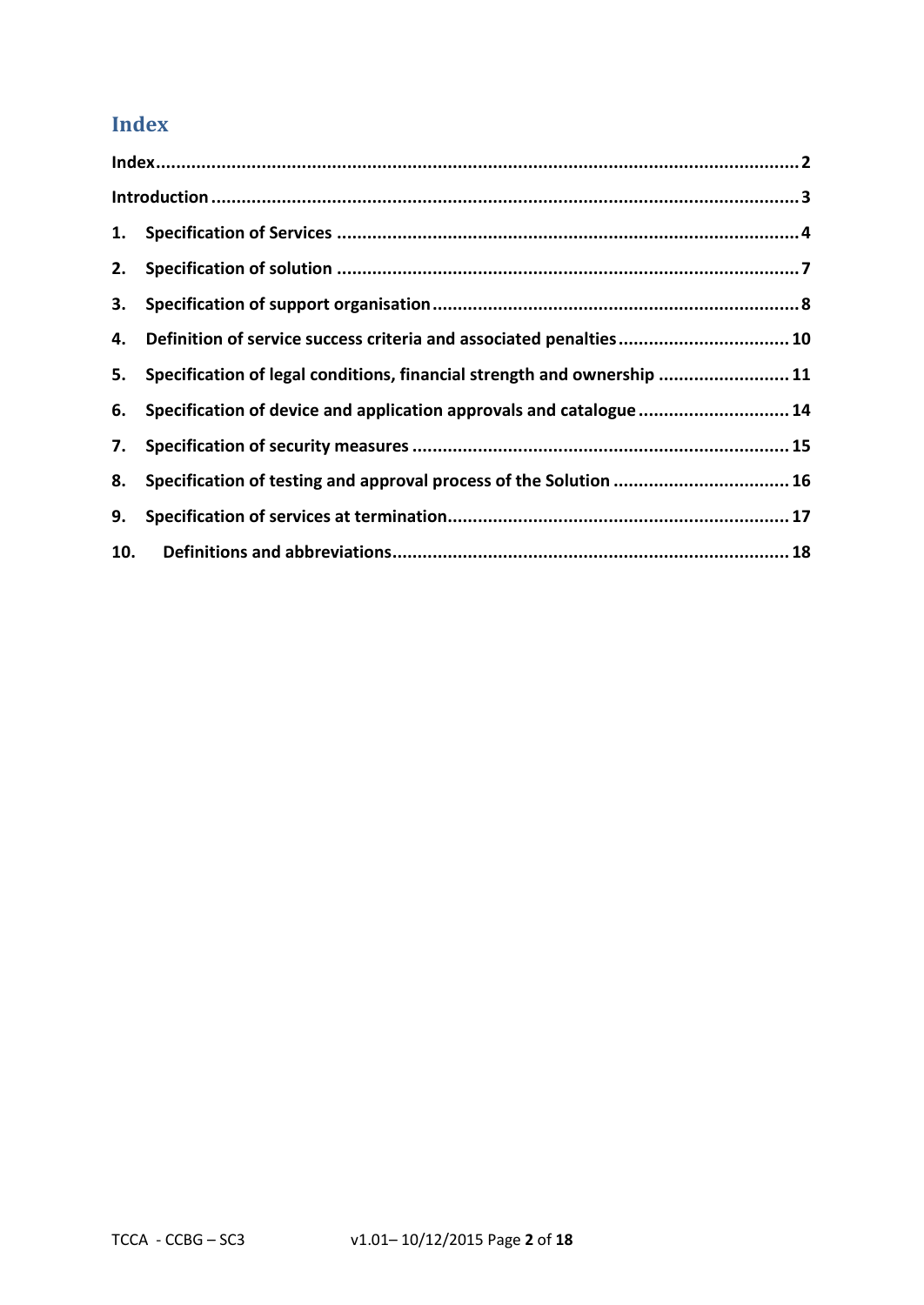# **Index**

| 4.  | Definition of service success criteria and associated penalties 10         |  |
|-----|----------------------------------------------------------------------------|--|
|     | 5. Specification of legal conditions, financial strength and ownership  11 |  |
|     | 6. Specification of device and application approvals and catalogue  14     |  |
|     |                                                                            |  |
| 8.  | Specification of testing and approval process of the Solution  16          |  |
| 9.  |                                                                            |  |
| 10. |                                                                            |  |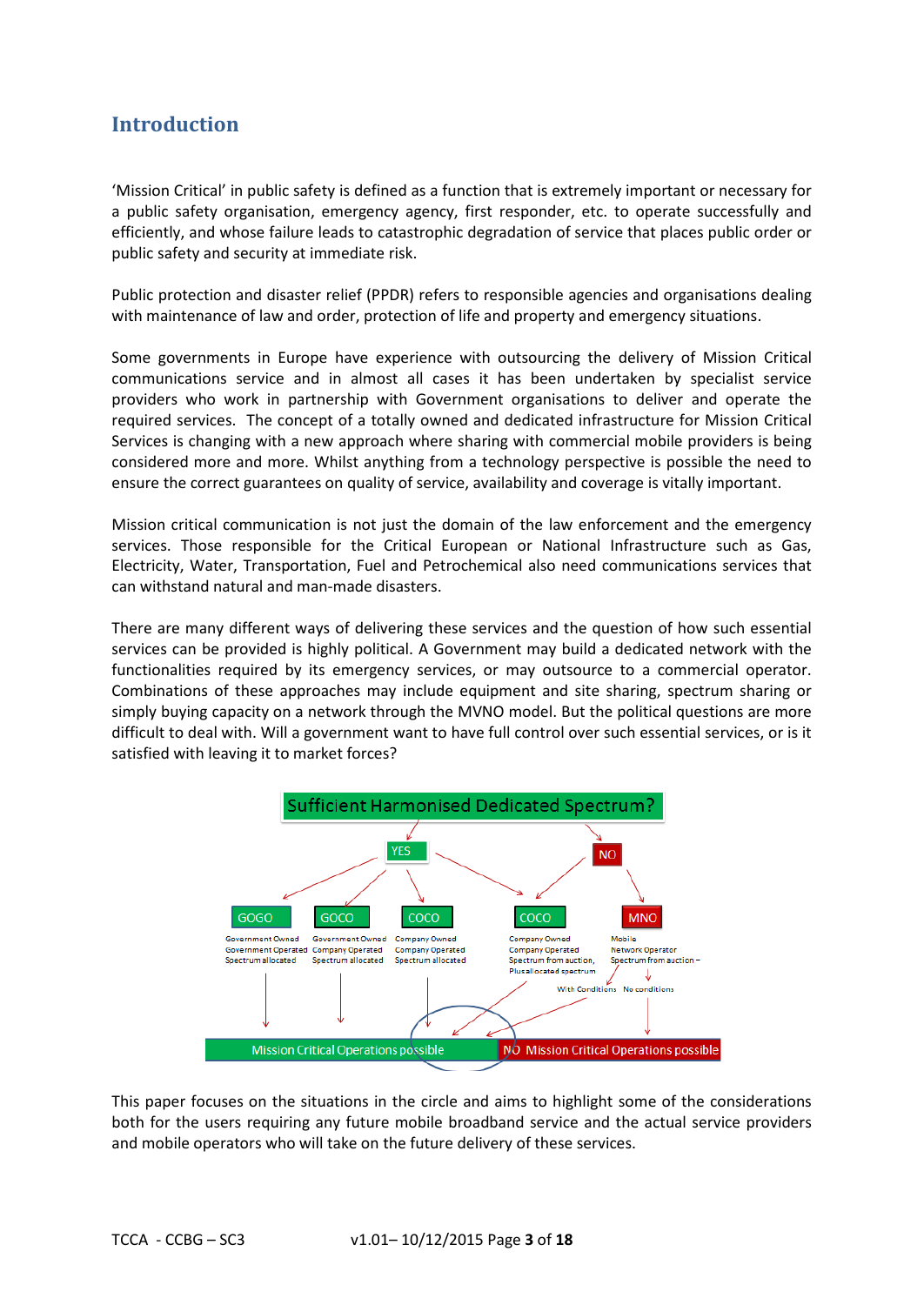# **Introduction**

'Mission Critical' in public safety is defined as a function that is extremely important or necessary for a public safety organisation, emergency agency, first responder, etc. to operate successfully and efficiently, and whose failure leads to catastrophic degradation of service that places public order or public safety and security at immediate risk.

Public protection and disaster relief (PPDR) refers to responsible agencies and organisations dealing with maintenance of law and order, protection of life and property and emergency situations.

Some governments in Europe have experience with outsourcing the delivery of Mission Critical communications service and in almost all cases it has been undertaken by specialist service providers who work in partnership with Government organisations to deliver and operate the required services. The concept of a totally owned and dedicated infrastructure for Mission Critical Services is changing with a new approach where sharing with commercial mobile providers is being considered more and more. Whilst anything from a technology perspective is possible the need to ensure the correct guarantees on quality of service, availability and coverage is vitally important.

Mission critical communication is not just the domain of the law enforcement and the emergency services. Those responsible for the Critical European or National Infrastructure such as Gas, Electricity, Water, Transportation, Fuel and Petrochemical also need communications services that can withstand natural and man-made disasters.

There are many different ways of delivering these services and the question of how such essential services can be provided is highly political. A Government may build a dedicated network with the functionalities required by its emergency services, or may outsource to a commercial operator. Combinations of these approaches may include equipment and site sharing, spectrum sharing or simply buying capacity on a network through the MVNO model. But the political questions are more difficult to deal with. Will a government want to have full control over such essential services, or is it satisfied with leaving it to market forces?



This paper focuses on the situations in the circle and aims to highlight some of the considerations both for the users requiring any future mobile broadband service and the actual service providers and mobile operators who will take on the future delivery of these services.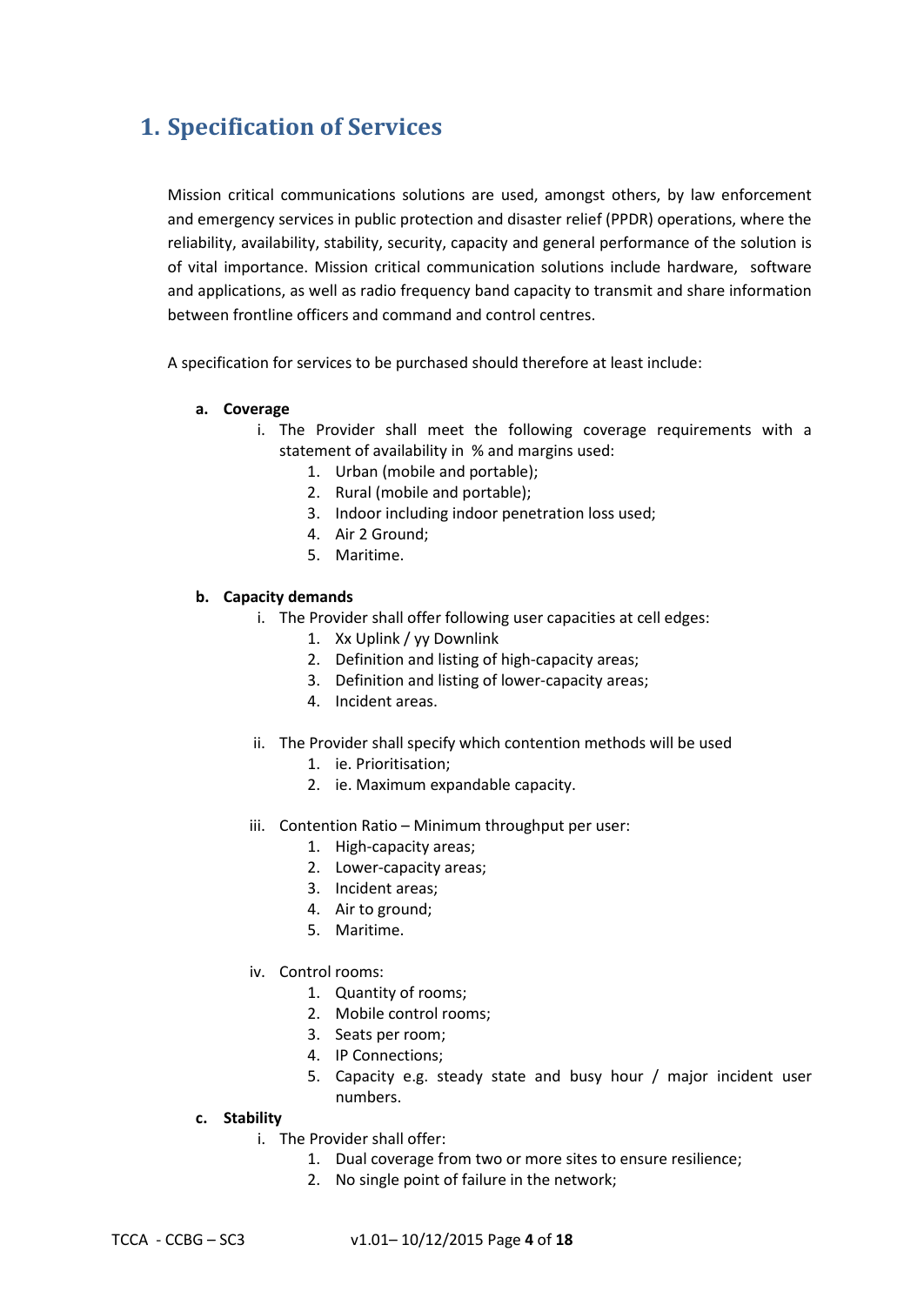# **1. Specification of Services**

Mission critical communications solutions are used, amongst others, by law enforcement and emergency services in public protection and disaster relief (PPDR) operations, where the reliability, availability, stability, security, capacity and general performance of the solution is of vital importance. Mission critical communication solutions include hardware, software and applications, as well as radio frequency band capacity to transmit and share information between frontline officers and command and control centres.

A specification for services to be purchased should therefore at least include:

### **a. Coverage**

- i. The Provider shall meet the following coverage requirements with a statement of availability in % and margins used:
	- 1. Urban (mobile and portable);
	- 2. Rural (mobile and portable);
	- 3. Indoor including indoor penetration loss used;
	- 4. Air 2 Ground;
	- 5. Maritime.

### **b. Capacity demands**

- i. The Provider shall offer following user capacities at cell edges:
	- 1. Xx Uplink / yy Downlink
	- 2. Definition and listing of high-capacity areas;
	- 3. Definition and listing of lower-capacity areas;
	- 4. Incident areas.
- ii. The Provider shall specify which contention methods will be used
	- 1. ie. Prioritisation;
	- 2. ie. Maximum expandable capacity.
- iii. Contention Ratio Minimum throughput per user:
	- 1. High-capacity areas;
	- 2. Lower-capacity areas;
	- 3. Incident areas;
	- 4. Air to ground;
	- 5. Maritime.
- iv. Control rooms:
	- 1. Quantity of rooms;
	- 2. Mobile control rooms;
	- 3. Seats per room;
	- 4. IP Connections;
	- 5. Capacity e.g. steady state and busy hour / major incident user numbers.

### **c. Stability**

- i. The Provider shall offer:
	- 1. Dual coverage from two or more sites to ensure resilience;
	- 2. No single point of failure in the network;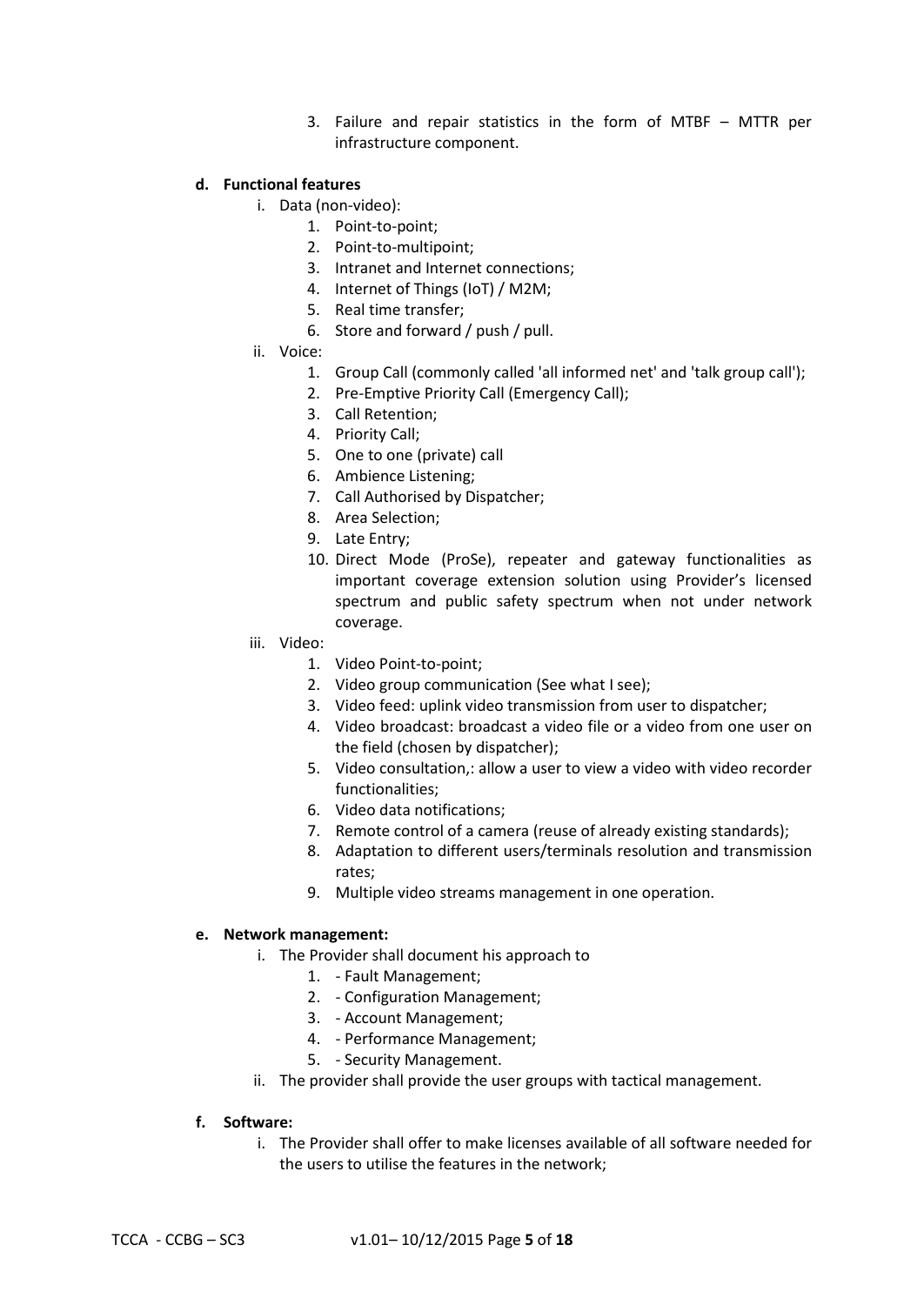3. Failure and repair statistics in the form of MTBF – MTTR per infrastructure component.

#### **d. Functional features**

- i. Data (non-video):
	- 1. Point-to-point;
	- 2. Point-to-multipoint;
	- 3. Intranet and Internet connections;
	- 4. Internet of Things (IoT) / M2M;
	- 5. Real time transfer;
	- 6. Store and forward / push / pull.
- ii. Voice:
	- 1. Group Call (commonly called 'all informed net' and 'talk group call');
	- 2. Pre-Emptive Priority Call (Emergency Call);
	- 3. Call Retention;
	- 4. Priority Call;
	- 5. One to one (private) call
	- 6. Ambience Listening;
	- 7. Call Authorised by Dispatcher;
	- 8. Area Selection;
	- 9. Late Entry;
	- 10. Direct Mode (ProSe), repeater and gateway functionalities as important coverage extension solution using Provider's licensed spectrum and public safety spectrum when not under network coverage.
- iii. Video:
	- 1. Video Point-to-point;
	- 2. Video group communication (See what I see);
	- 3. Video feed: uplink video transmission from user to dispatcher;
	- 4. Video broadcast: broadcast a video file or a video from one user on the field (chosen by dispatcher);
	- 5. Video consultation,: allow a user to view a video with video recorder functionalities;
	- 6. Video data notifications;
	- 7. Remote control of a camera (reuse of already existing standards);
	- 8. Adaptation to different users/terminals resolution and transmission rates;
	- 9. Multiple video streams management in one operation.

#### **e. Network management:**

- i. The Provider shall document his approach to
	- 1. Fault Management;
	- 2. Configuration Management;
	- 3. Account Management;
	- 4. Performance Management;
	- 5. Security Management.
- ii. The provider shall provide the user groups with tactical management.

#### **f. Software:**

i. The Provider shall offer to make licenses available of all software needed for the users to utilise the features in the network;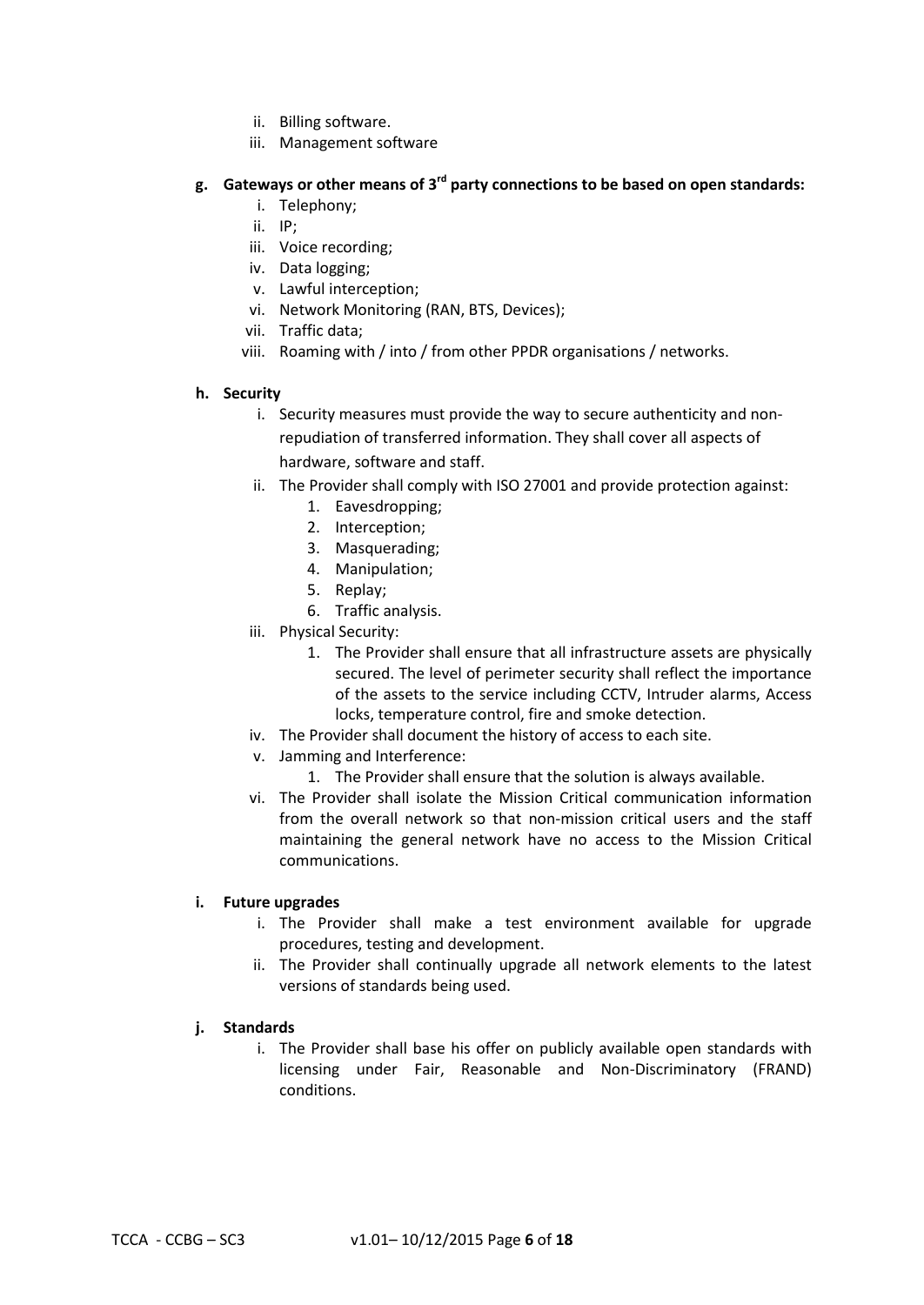- ii. Billing software.
- iii. Management software

## **g. Gateways or other means of 3rd party connections to be based on open standards:**

- i. Telephony;
- ii. IP;
- iii. Voice recording;
- iv. Data logging;
- v. Lawful interception;
- vi. Network Monitoring (RAN, BTS, Devices);
- vii. Traffic data;
- viii. Roaming with / into / from other PPDR organisations / networks.

### **h. Security**

- i. Security measures must provide the way to secure authenticity and nonrepudiation of transferred information. They shall cover all aspects of hardware, software and staff.
- ii. The Provider shall comply with ISO 27001 and provide protection against:
	- 1. Eavesdropping;
	- 2. Interception;
	- 3. Masquerading;
	- 4. Manipulation;
	- 5. Replay;
	- 6. Traffic analysis.
- iii. Physical Security:
	- 1. The Provider shall ensure that all infrastructure assets are physically secured. The level of perimeter security shall reflect the importance of the assets to the service including CCTV, Intruder alarms, Access locks, temperature control, fire and smoke detection.
- iv. The Provider shall document the history of access to each site.
- v. Jamming and Interference:
	- 1. The Provider shall ensure that the solution is always available.
- vi. The Provider shall isolate the Mission Critical communication information from the overall network so that non-mission critical users and the staff maintaining the general network have no access to the Mission Critical communications.

### **i. Future upgrades**

- i. The Provider shall make a test environment available for upgrade procedures, testing and development.
- ii. The Provider shall continually upgrade all network elements to the latest versions of standards being used.

### **j. Standards**

i. The Provider shall base his offer on publicly available open standards with licensing under Fair, Reasonable and Non-Discriminatory (FRAND) conditions.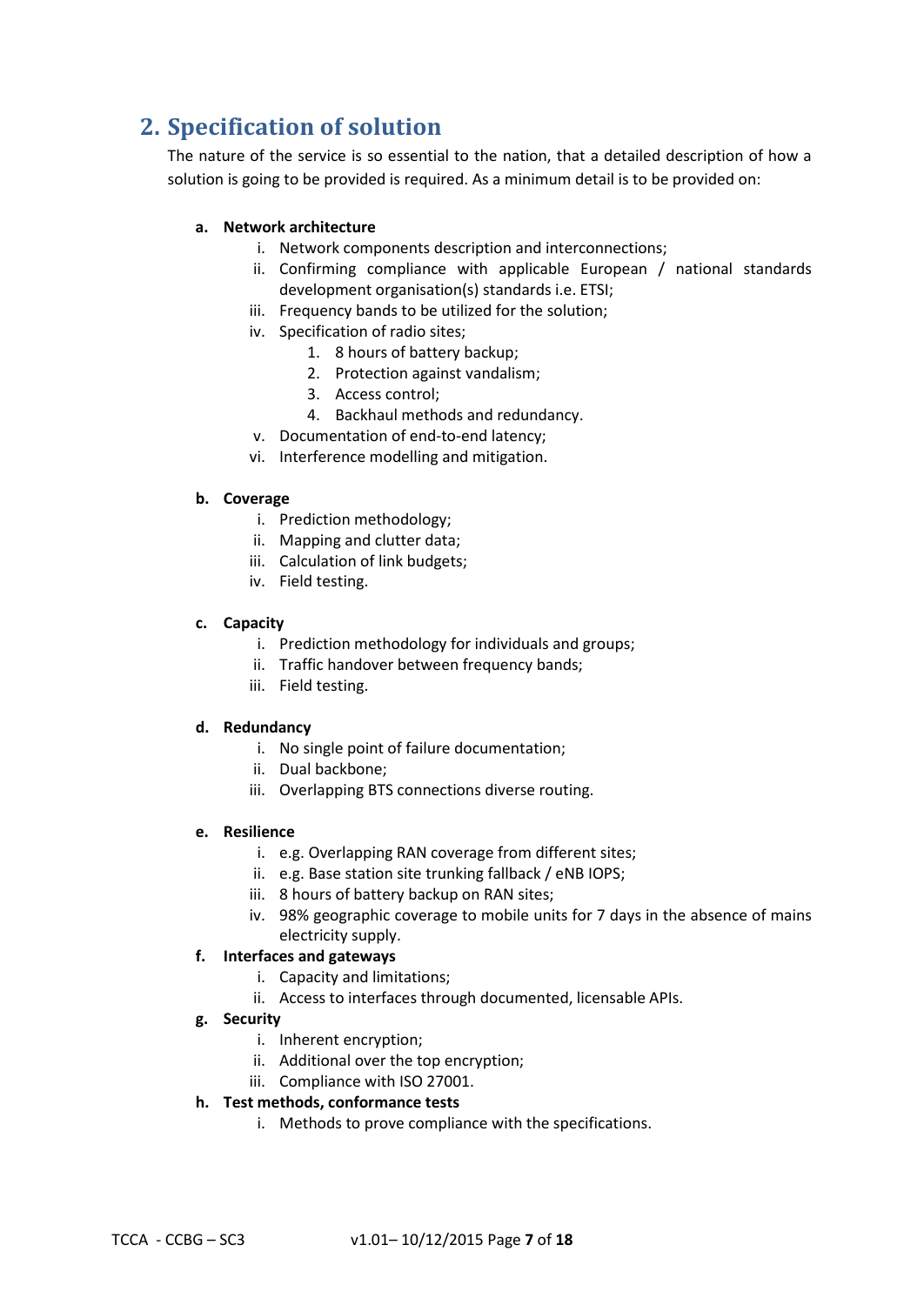# **2. Specification of solution**

The nature of the service is so essential to the nation, that a detailed description of how a solution is going to be provided is required. As a minimum detail is to be provided on:

## **a. Network architecture**

- i. Network components description and interconnections;
- ii. Confirming compliance with applicable European / national standards development organisation(s) standards i.e. ETSI;
- iii. Frequency bands to be utilized for the solution;
- iv. Specification of radio sites;
	- 1. 8 hours of battery backup;
	- 2. Protection against vandalism;
	- 3. Access control;
	- 4. Backhaul methods and redundancy.
- v. Documentation of end-to-end latency;
- vi. Interference modelling and mitigation.

### **b. Coverage**

- i. Prediction methodology;
- ii. Mapping and clutter data;
- iii. Calculation of link budgets;
- iv. Field testing.

### **c. Capacity**

- i. Prediction methodology for individuals and groups;
- ii. Traffic handover between frequency bands;
- iii. Field testing.

### **d. Redundancy**

- i. No single point of failure documentation;
- ii. Dual backbone;
- iii. Overlapping BTS connections diverse routing.

### **e. Resilience**

- i. e.g. Overlapping RAN coverage from different sites;
- ii. e.g. Base station site trunking fallback / eNB IOPS;
- iii. 8 hours of battery backup on RAN sites;
- iv. 98% geographic coverage to mobile units for 7 days in the absence of mains electricity supply.

### **f. Interfaces and gateways**

- i. Capacity and limitations;
- ii. Access to interfaces through documented, licensable APIs.
- **g. Security**
	- i. Inherent encryption;
	- ii. Additional over the top encryption;
	- iii. Compliance with ISO 27001.

# **h. Test methods, conformance tests**

i. Methods to prove compliance with the specifications.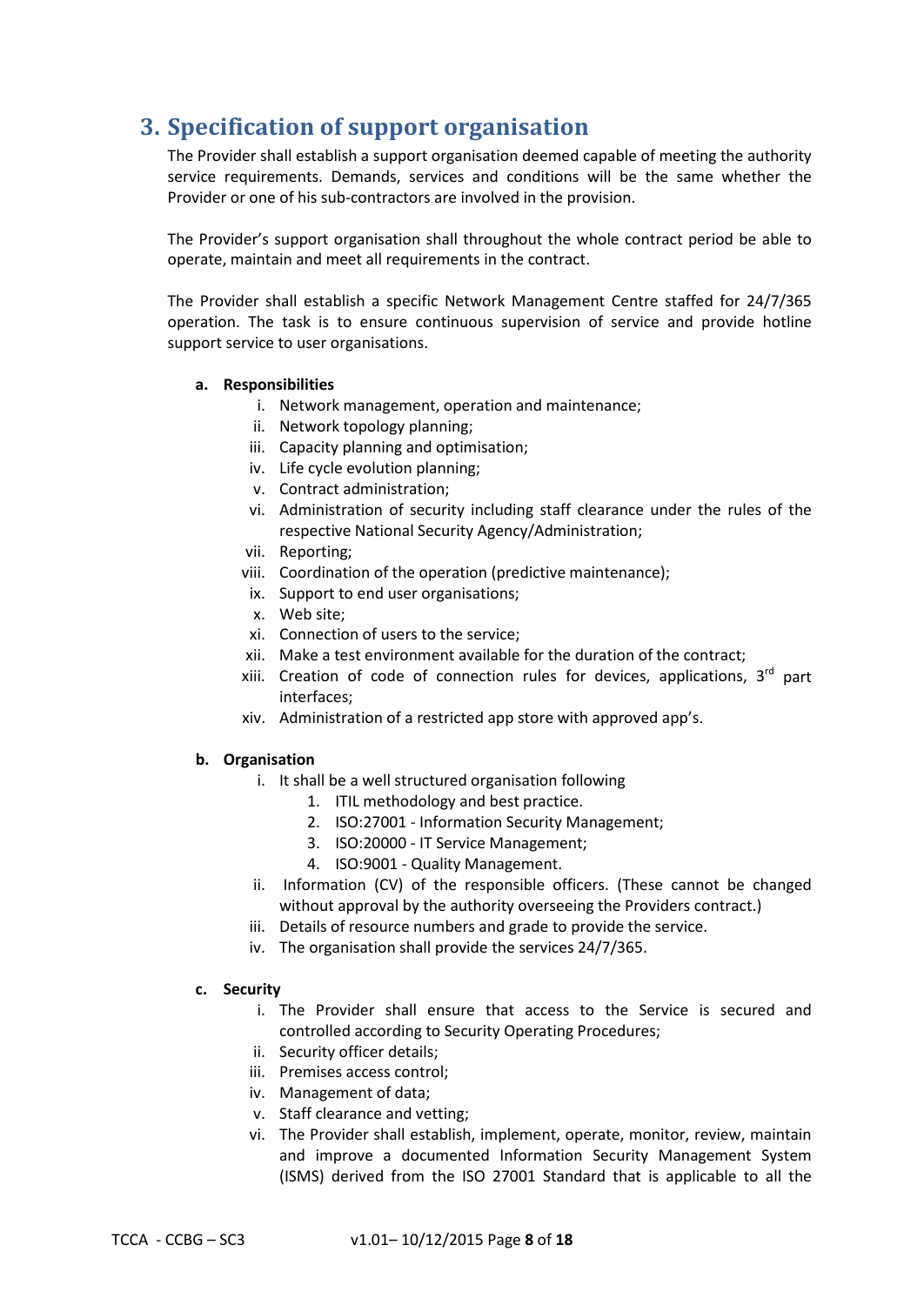# **3. Specification of support organisation**

The Provider shall establish a support organisation deemed capable of meeting the authority service requirements. Demands, services and conditions will be the same whether the Provider or one of his sub-contractors are involved in the provision.

The Provider's support organisation shall throughout the whole contract period be able to operate, maintain and meet all requirements in the contract.

The Provider shall establish a specific Network Management Centre staffed for 24/7/365 operation. The task is to ensure continuous supervision of service and provide hotline support service to user organisations.

### **a. Responsibilities**

- i. Network management, operation and maintenance;
- ii. Network topology planning;
- iii. Capacity planning and optimisation;
- iv. Life cycle evolution planning;
- v. Contract administration;
- vi. Administration of security including staff clearance under the rules of the respective National Security Agency/Administration;
- vii. Reporting;
- viii. Coordination of the operation (predictive maintenance);
- ix. Support to end user organisations;
- x. Web site;
- xi. Connection of users to the service;
- xii. Make a test environment available for the duration of the contract;
- xiii. Creation of code of connection rules for devices, applications,  $3<sup>rd</sup>$  part interfaces;
- xiv. Administration of a restricted app store with approved app's.

### **b. Organisation**

- i. It shall be a well structured organisation following
	- 1. ITIL methodology and best practice.
	- 2. ISO:27001 Information Security Management;
	- 3. ISO:20000 IT Service Management;
	- 4. ISO:9001 Quality Management.
- ii. Information (CV) of the responsible officers. (These cannot be changed without approval by the authority overseeing the Providers contract.)
- iii. Details of resource numbers and grade to provide the service.
- iv. The organisation shall provide the services 24/7/365.

### **c. Security**

- i. The Provider shall ensure that access to the Service is secured and controlled according to Security Operating Procedures;
- ii. Security officer details;
- iii. Premises access control;
- iv. Management of data;
- v. Staff clearance and vetting;
- vi. The Provider shall establish, implement, operate, monitor, review, maintain and improve a documented Information Security Management System (ISMS) derived from the ISO 27001 Standard that is applicable to all the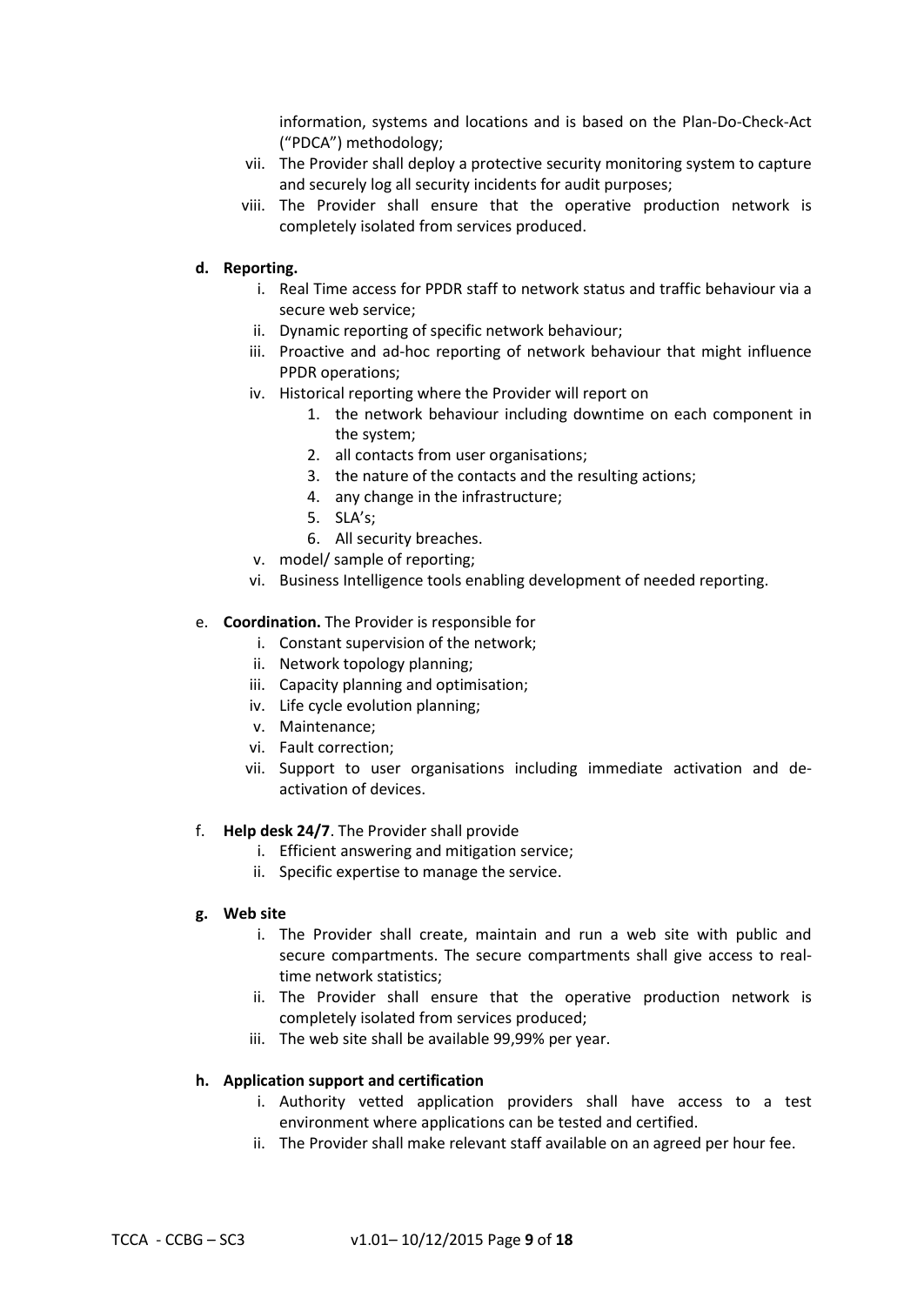information, systems and locations and is based on the Plan-Do-Check-Act ("PDCA") methodology;

- vii. The Provider shall deploy a protective security monitoring system to capture and securely log all security incidents for audit purposes;
- viii. The Provider shall ensure that the operative production network is completely isolated from services produced.

### **d. Reporting.**

- i. Real Time access for PPDR staff to network status and traffic behaviour via a secure web service;
- ii. Dynamic reporting of specific network behaviour;
- iii. Proactive and ad-hoc reporting of network behaviour that might influence PPDR operations;
- iv. Historical reporting where the Provider will report on
	- 1. the network behaviour including downtime on each component in the system;
	- 2. all contacts from user organisations;
	- 3. the nature of the contacts and the resulting actions;
	- 4. any change in the infrastructure;
	- 5. SLA's;
	- 6. All security breaches.
- v. model/ sample of reporting;
- vi. Business Intelligence tools enabling development of needed reporting.

### e. **Coordination.** The Provider is responsible for

- i. Constant supervision of the network;
- ii. Network topology planning;
- iii. Capacity planning and optimisation;
- iv. Life cycle evolution planning;
- v. Maintenance;
- vi. Fault correction;
- vii. Support to user organisations including immediate activation and deactivation of devices.

### f. **Help desk 24/7**. The Provider shall provide

- i. Efficient answering and mitigation service;
- ii. Specific expertise to manage the service.

### **g. Web site**

- i. The Provider shall create, maintain and run a web site with public and secure compartments. The secure compartments shall give access to realtime network statistics;
- ii. The Provider shall ensure that the operative production network is completely isolated from services produced;
- iii. The web site shall be available 99,99% per year.

### **h. Application support and certification**

- i. Authority vetted application providers shall have access to a test environment where applications can be tested and certified.
- ii. The Provider shall make relevant staff available on an agreed per hour fee.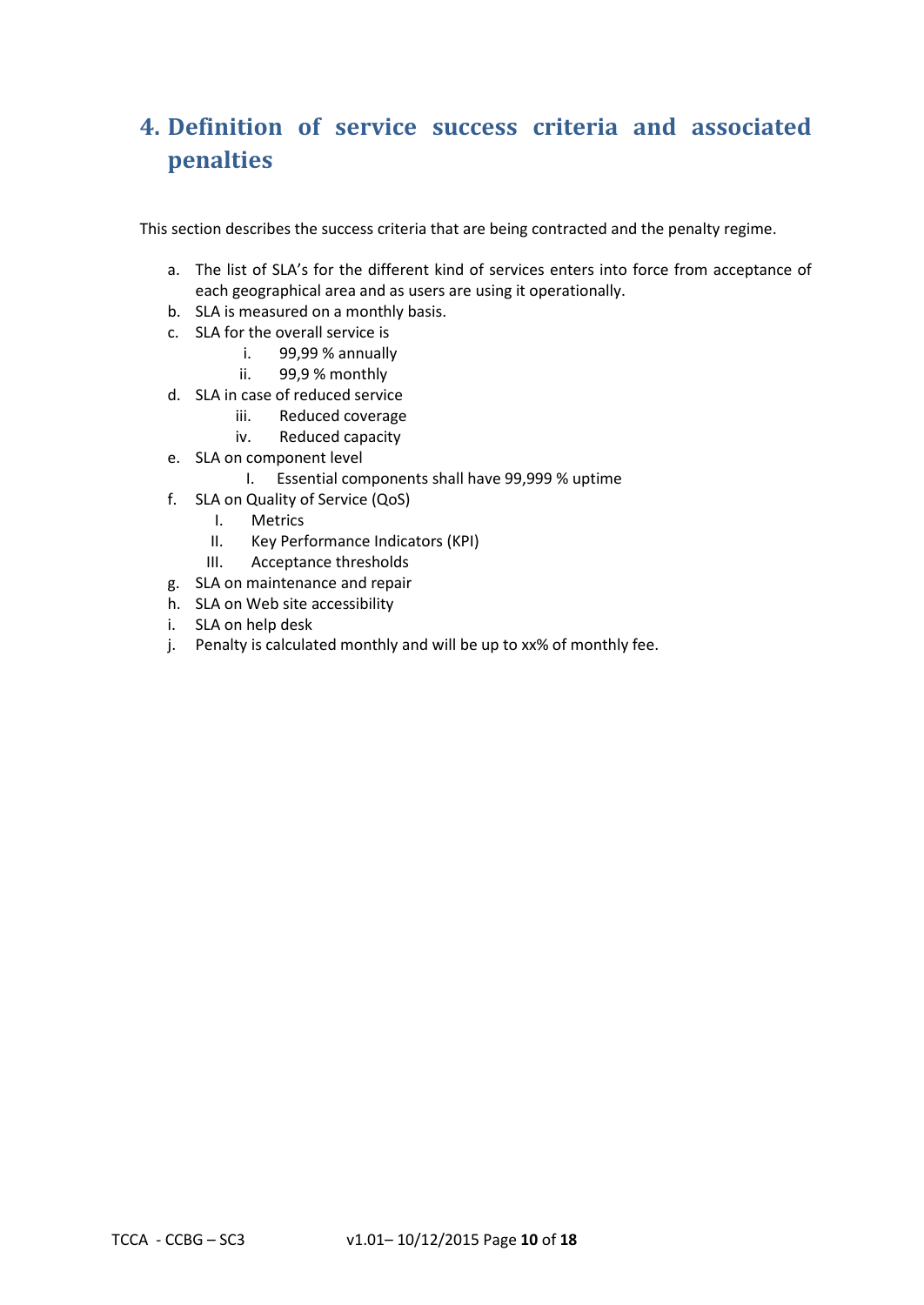# **4. Definition of service success criteria and associated penalties**

This section describes the success criteria that are being contracted and the penalty regime.

- a. The list of SLA's for the different kind of services enters into force from acceptance of each geographical area and as users are using it operationally.
- b. SLA is measured on a monthly basis.
- c. SLA for the overall service is
	- i. 99,99 % annually
	- ii. 99,9 % monthly
- d. SLA in case of reduced service
	- iii. Reduced coverage
	- iv. Reduced capacity
- e. SLA on component level
	- I. Essential components shall have 99,999 % uptime
- f. SLA on Quality of Service (QoS)
	- I. Metrics
	- II. Key Performance Indicators (KPI)
	- III. Acceptance thresholds
- g. SLA on maintenance and repair
- h. SLA on Web site accessibility
- i. SLA on help desk
- j. Penalty is calculated monthly and will be up to xx% of monthly fee.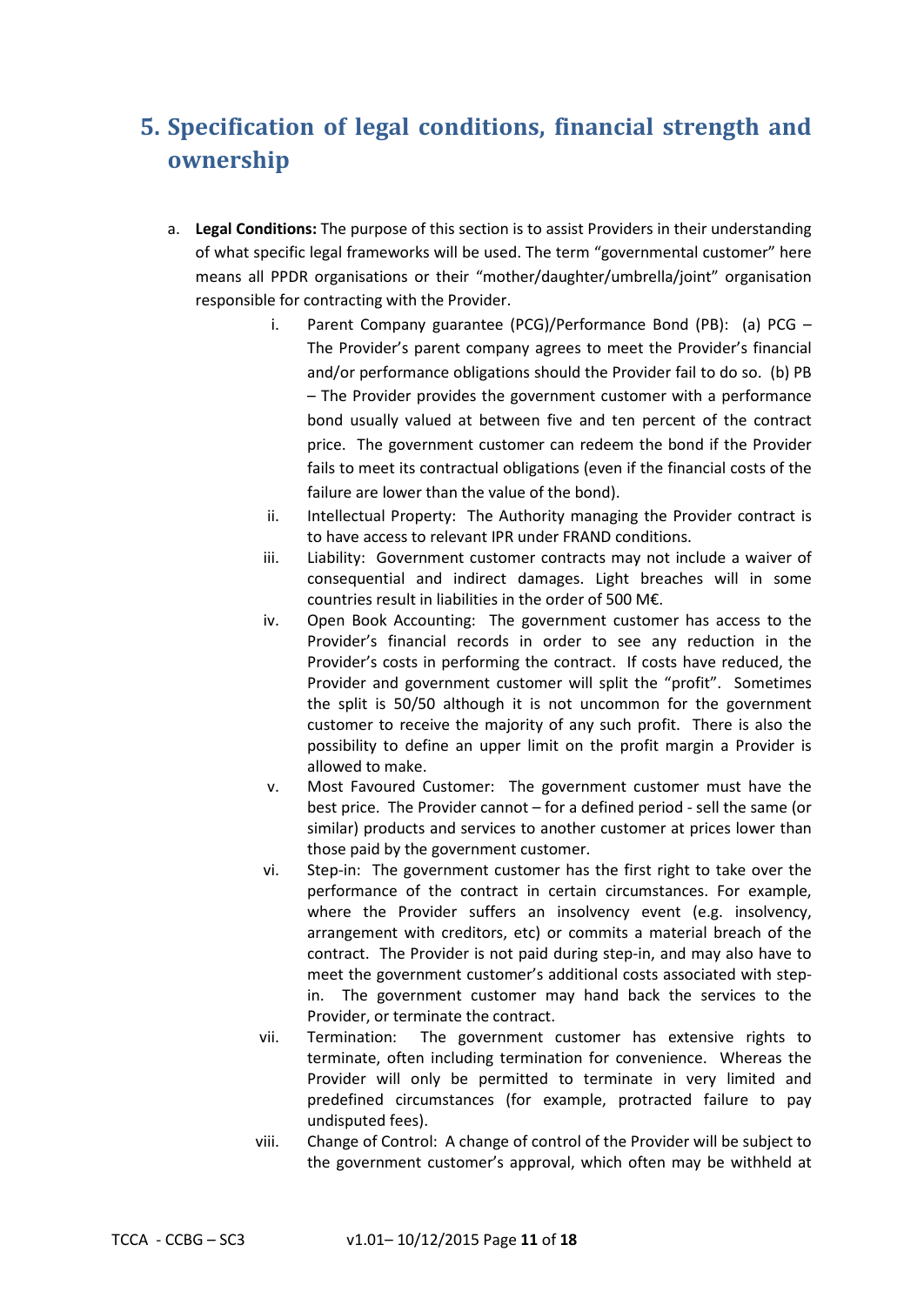# **5. Specification of legal conditions, financial strength and ownership**

- a. **Legal Conditions:** The purpose of this section is to assist Providers in their understanding of what specific legal frameworks will be used. The term "governmental customer" here means all PPDR organisations or their "mother/daughter/umbrella/joint" organisation responsible for contracting with the Provider.
	- i. Parent Company guarantee (PCG)/Performance Bond (PB): (a) PCG The Provider's parent company agrees to meet the Provider's financial and/or performance obligations should the Provider fail to do so. (b) PB – The Provider provides the government customer with a performance bond usually valued at between five and ten percent of the contract price. The government customer can redeem the bond if the Provider fails to meet its contractual obligations (even if the financial costs of the failure are lower than the value of the bond).
	- ii. Intellectual Property: The Authority managing the Provider contract is to have access to relevant IPR under FRAND conditions.
	- iii. Liability: Government customer contracts may not include a waiver of consequential and indirect damages. Light breaches will in some countries result in liabilities in the order of 500 M€.
	- iv. Open Book Accounting: The government customer has access to the Provider's financial records in order to see any reduction in the Provider's costs in performing the contract. If costs have reduced, the Provider and government customer will split the "profit". Sometimes the split is 50/50 although it is not uncommon for the government customer to receive the majority of any such profit. There is also the possibility to define an upper limit on the profit margin a Provider is allowed to make.
	- v. Most Favoured Customer: The government customer must have the best price. The Provider cannot – for a defined period - sell the same (or similar) products and services to another customer at prices lower than those paid by the government customer.
	- vi. Step-in: The government customer has the first right to take over the performance of the contract in certain circumstances. For example, where the Provider suffers an insolvency event (e.g. insolvency, arrangement with creditors, etc) or commits a material breach of the contract. The Provider is not paid during step-in, and may also have to meet the government customer's additional costs associated with stepin. The government customer may hand back the services to the Provider, or terminate the contract.
	- vii. Termination: The government customer has extensive rights to terminate, often including termination for convenience. Whereas the Provider will only be permitted to terminate in very limited and predefined circumstances (for example, protracted failure to pay undisputed fees).
	- viii. Change of Control: A change of control of the Provider will be subject to the government customer's approval, which often may be withheld at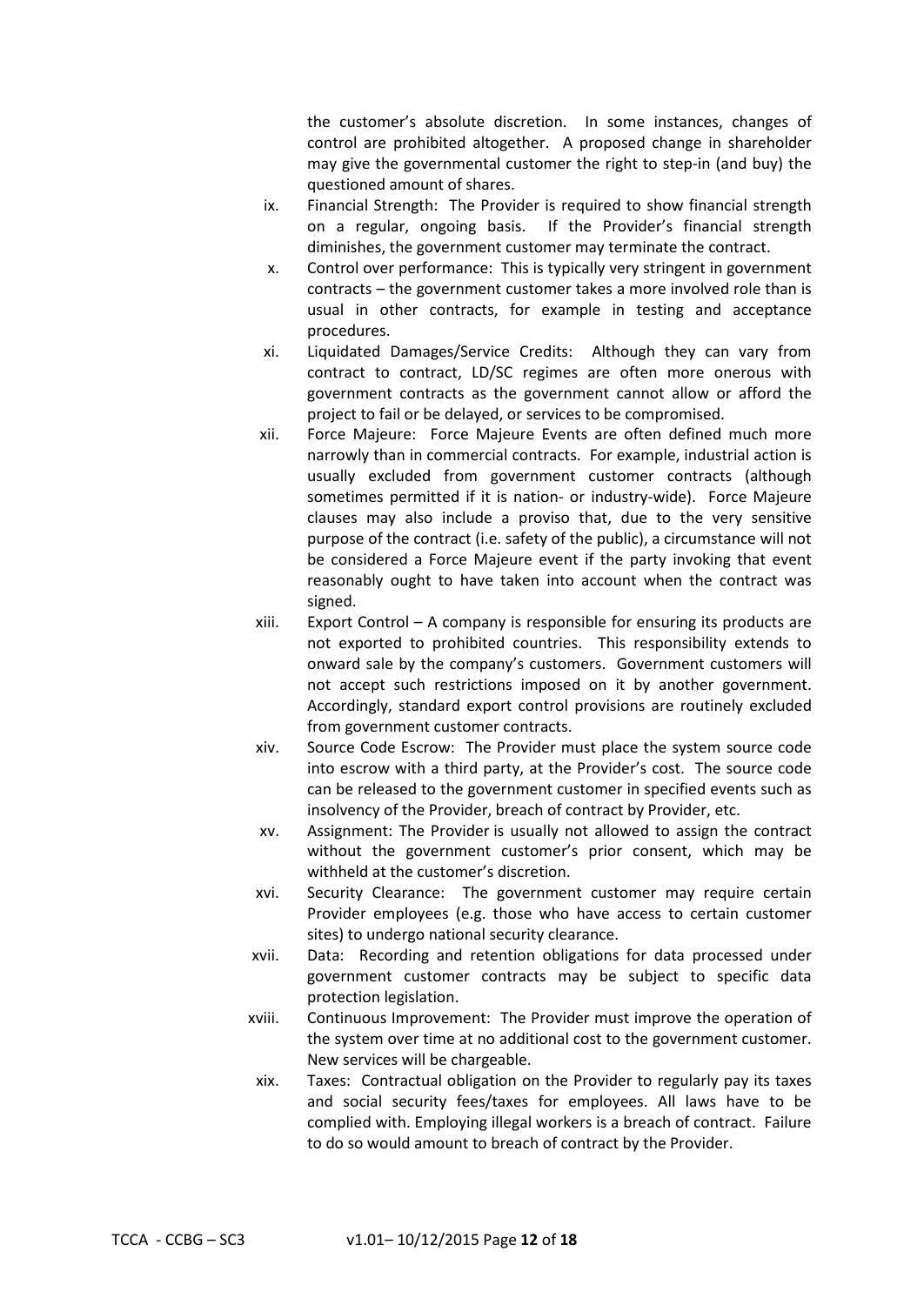the customer's absolute discretion. In some instances, changes of control are prohibited altogether. A proposed change in shareholder may give the governmental customer the right to step-in (and buy) the questioned amount of shares.

- ix. Financial Strength: The Provider is required to show financial strength on a regular, ongoing basis. If the Provider's financial strength diminishes, the government customer may terminate the contract.
- x. Control over performance: This is typically very stringent in government contracts – the government customer takes a more involved role than is usual in other contracts, for example in testing and acceptance procedures.
- xi. Liquidated Damages/Service Credits: Although they can vary from contract to contract, LD/SC regimes are often more onerous with government contracts as the government cannot allow or afford the project to fail or be delayed, or services to be compromised.
- xii. Force Majeure: Force Majeure Events are often defined much more narrowly than in commercial contracts. For example, industrial action is usually excluded from government customer contracts (although sometimes permitted if it is nation- or industry-wide). Force Majeure clauses may also include a proviso that, due to the very sensitive purpose of the contract (i.e. safety of the public), a circumstance will not be considered a Force Majeure event if the party invoking that event reasonably ought to have taken into account when the contract was signed.
- xiii. Export Control A company is responsible for ensuring its products are not exported to prohibited countries. This responsibility extends to onward sale by the company's customers. Government customers will not accept such restrictions imposed on it by another government. Accordingly, standard export control provisions are routinely excluded from government customer contracts.
- xiv. Source Code Escrow: The Provider must place the system source code into escrow with a third party, at the Provider's cost. The source code can be released to the government customer in specified events such as insolvency of the Provider, breach of contract by Provider, etc.
- xv. Assignment: The Provider is usually not allowed to assign the contract without the government customer's prior consent, which may be withheld at the customer's discretion.
- xvi. Security Clearance: The government customer may require certain Provider employees (e.g. those who have access to certain customer sites) to undergo national security clearance.
- xvii. Data: Recording and retention obligations for data processed under government customer contracts may be subject to specific data protection legislation.
- xviii. Continuous Improvement: The Provider must improve the operation of the system over time at no additional cost to the government customer. New services will be chargeable.
- xix. Taxes: Contractual obligation on the Provider to regularly pay its taxes and social security fees/taxes for employees. All laws have to be complied with. Employing illegal workers is a breach of contract. Failure to do so would amount to breach of contract by the Provider.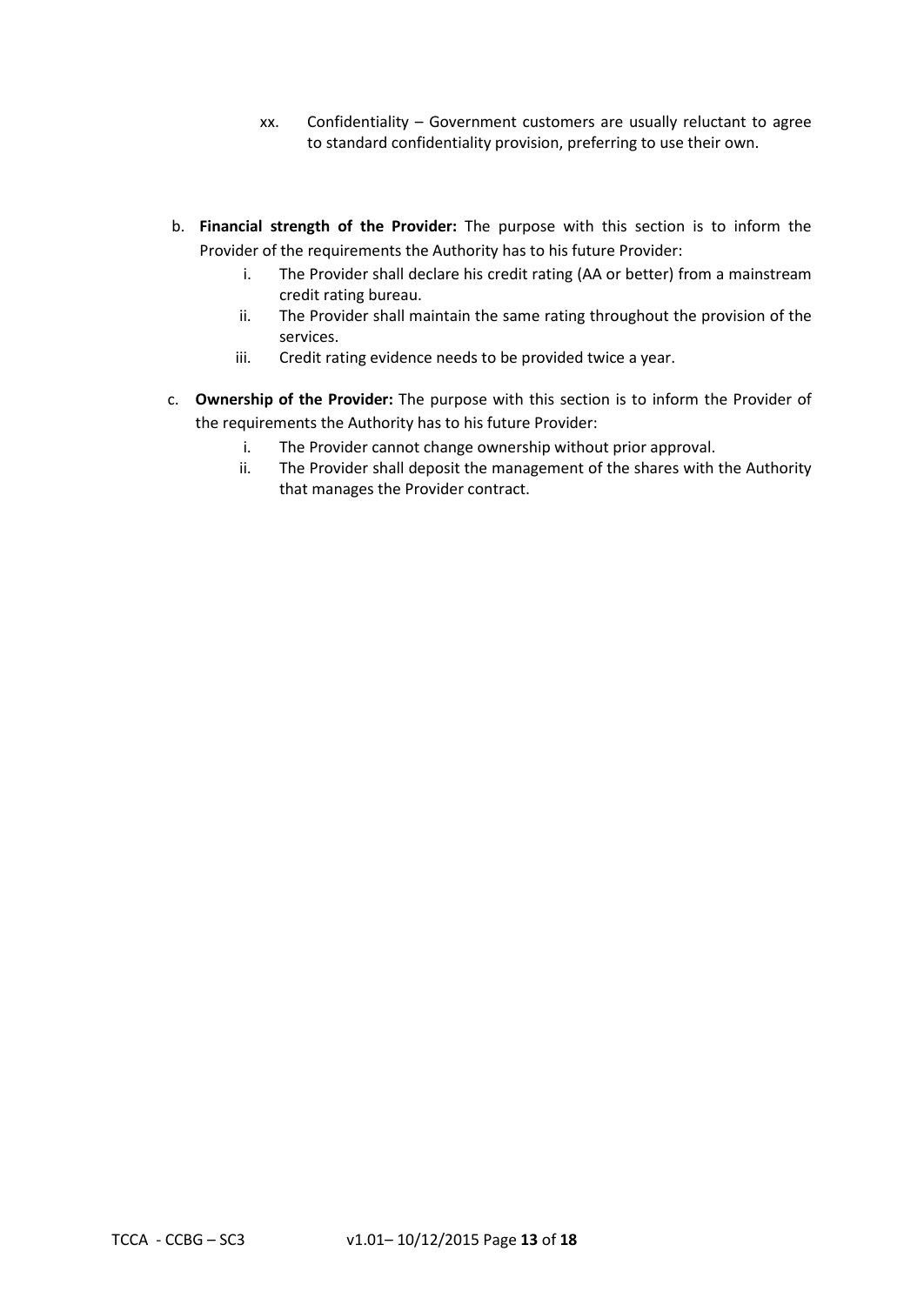- xx. Confidentiality Government customers are usually reluctant to agree to standard confidentiality provision, preferring to use their own.
- b. **Financial strength of the Provider:** The purpose with this section is to inform the Provider of the requirements the Authority has to his future Provider:
	- i. The Provider shall declare his credit rating (AA or better) from a mainstream credit rating bureau.
	- ii. The Provider shall maintain the same rating throughout the provision of the services.
	- iii. Credit rating evidence needs to be provided twice a year.
- c. **Ownership of the Provider:** The purpose with this section is to inform the Provider of the requirements the Authority has to his future Provider:
	- i. The Provider cannot change ownership without prior approval.
	- ii. The Provider shall deposit the management of the shares with the Authority that manages the Provider contract.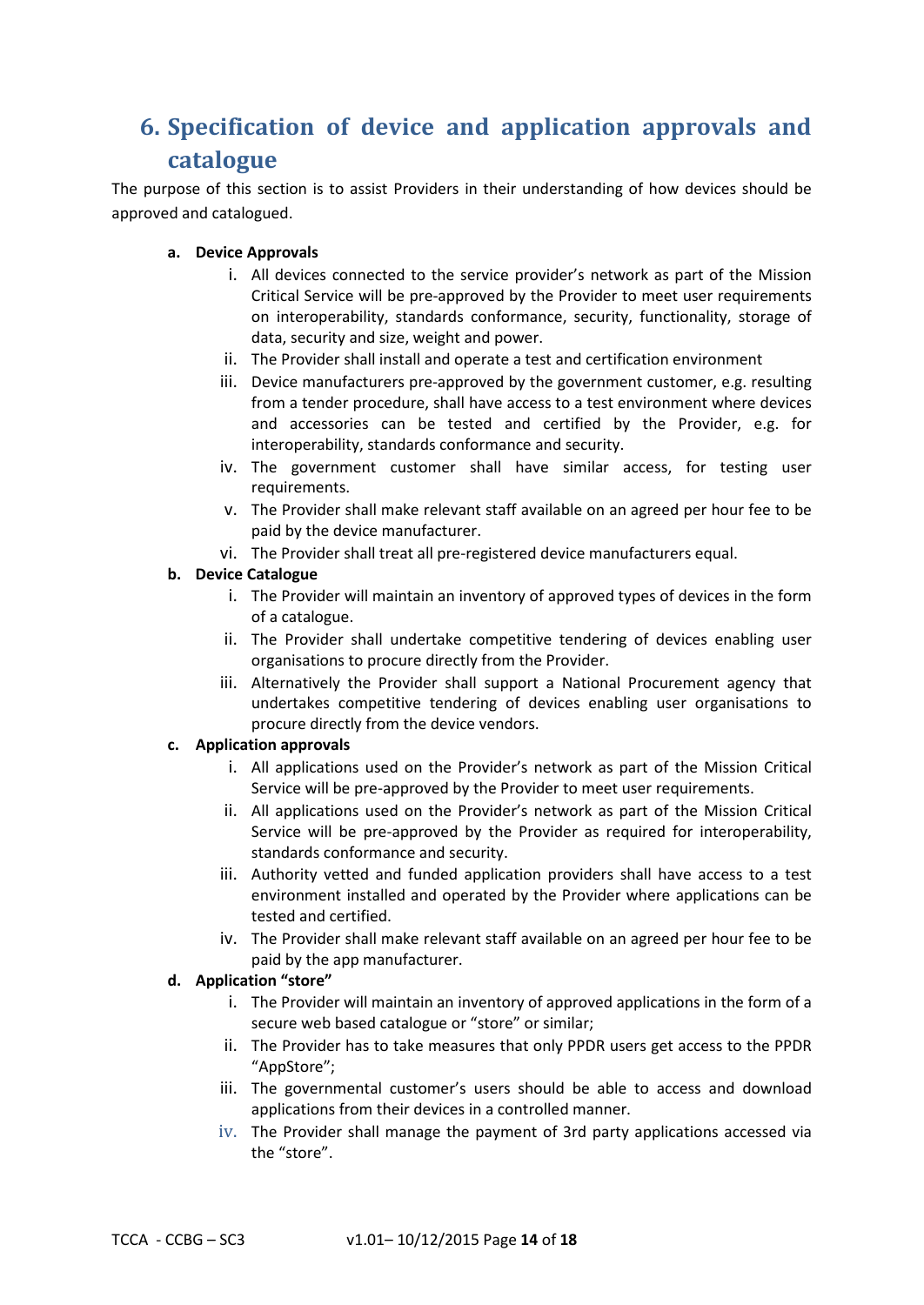# **6. Specification of device and application approvals and catalogue**

The purpose of this section is to assist Providers in their understanding of how devices should be approved and catalogued.

## **a. Device Approvals**

- i. All devices connected to the service provider's network as part of the Mission Critical Service will be pre-approved by the Provider to meet user requirements on interoperability, standards conformance, security, functionality, storage of data, security and size, weight and power.
- ii. The Provider shall install and operate a test and certification environment
- iii. Device manufacturers pre-approved by the government customer, e.g. resulting from a tender procedure, shall have access to a test environment where devices and accessories can be tested and certified by the Provider, e.g. for interoperability, standards conformance and security.
- iv. The government customer shall have similar access, for testing user requirements.
- v. The Provider shall make relevant staff available on an agreed per hour fee to be paid by the device manufacturer.
- vi. The Provider shall treat all pre-registered device manufacturers equal.

# **b. Device Catalogue**

- i. The Provider will maintain an inventory of approved types of devices in the form of a catalogue.
- ii. The Provider shall undertake competitive tendering of devices enabling user organisations to procure directly from the Provider.
- iii. Alternatively the Provider shall support a National Procurement agency that undertakes competitive tendering of devices enabling user organisations to procure directly from the device vendors.

# **c. Application approvals**

- i. All applications used on the Provider's network as part of the Mission Critical Service will be pre-approved by the Provider to meet user requirements.
- ii. All applications used on the Provider's network as part of the Mission Critical Service will be pre-approved by the Provider as required for interoperability, standards conformance and security.
- iii. Authority vetted and funded application providers shall have access to a test environment installed and operated by the Provider where applications can be tested and certified.
- iv. The Provider shall make relevant staff available on an agreed per hour fee to be paid by the app manufacturer.

# **d. Application "store"**

- i. The Provider will maintain an inventory of approved applications in the form of a secure web based catalogue or "store" or similar;
- ii. The Provider has to take measures that only PPDR users get access to the PPDR "AppStore";
- iii. The governmental customer's users should be able to access and download applications from their devices in a controlled manner.
- iv. The Provider shall manage the payment of 3rd party applications accessed via the "store".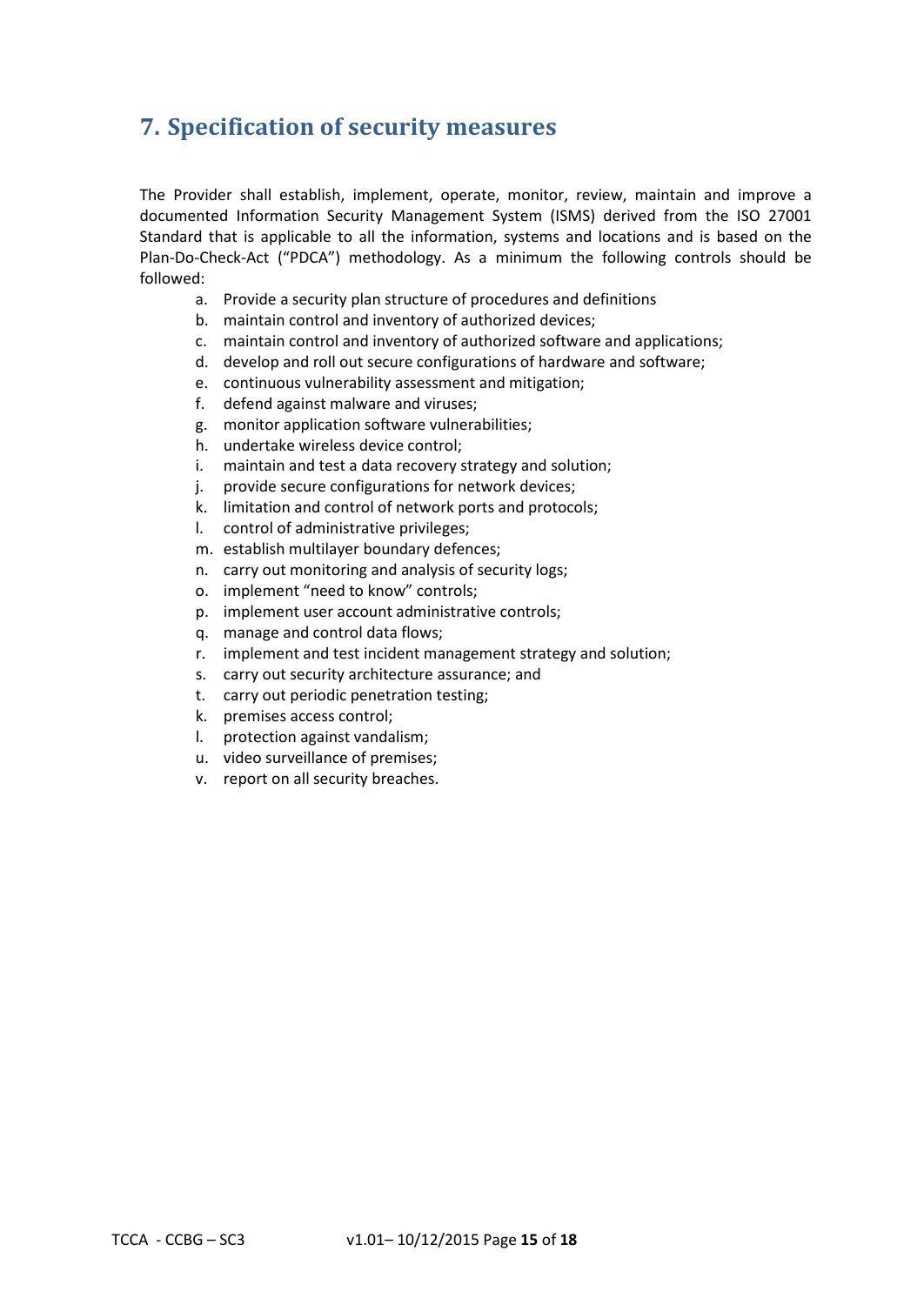# **7. Specification of security measures**

The Provider shall establish, implement, operate, monitor, review, maintain and improve a documented Information Security Management System (ISMS) derived from the ISO 27001 Standard that is applicable to all the information, systems and locations and is based on the Plan-Do-Check-Act ("PDCA") methodology. As a minimum the following controls should be followed:

- a. Provide a security plan structure of procedures and definitions
- b. maintain control and inventory of authorized devices;
- c. maintain control and inventory of authorized software and applications;
- d. develop and roll out secure configurations of hardware and software;
- e. continuous vulnerability assessment and mitigation;
- f. defend against malware and viruses;
- g. monitor application software vulnerabilities;
- h. undertake wireless device control;
- i. maintain and test a data recovery strategy and solution;
- j. provide secure configurations for network devices;
- k. limitation and control of network ports and protocols;
- l. control of administrative privileges;
- m. establish multilayer boundary defences;
- n. carry out monitoring and analysis of security logs;
- o. implement "need to know" controls;
- p. implement user account administrative controls;
- q. manage and control data flows;
- r. implement and test incident management strategy and solution;
- s. carry out security architecture assurance; and
- t. carry out periodic penetration testing;
- k. premises access control;
- l. protection against vandalism;
- u. video surveillance of premises;
- v. report on all security breaches.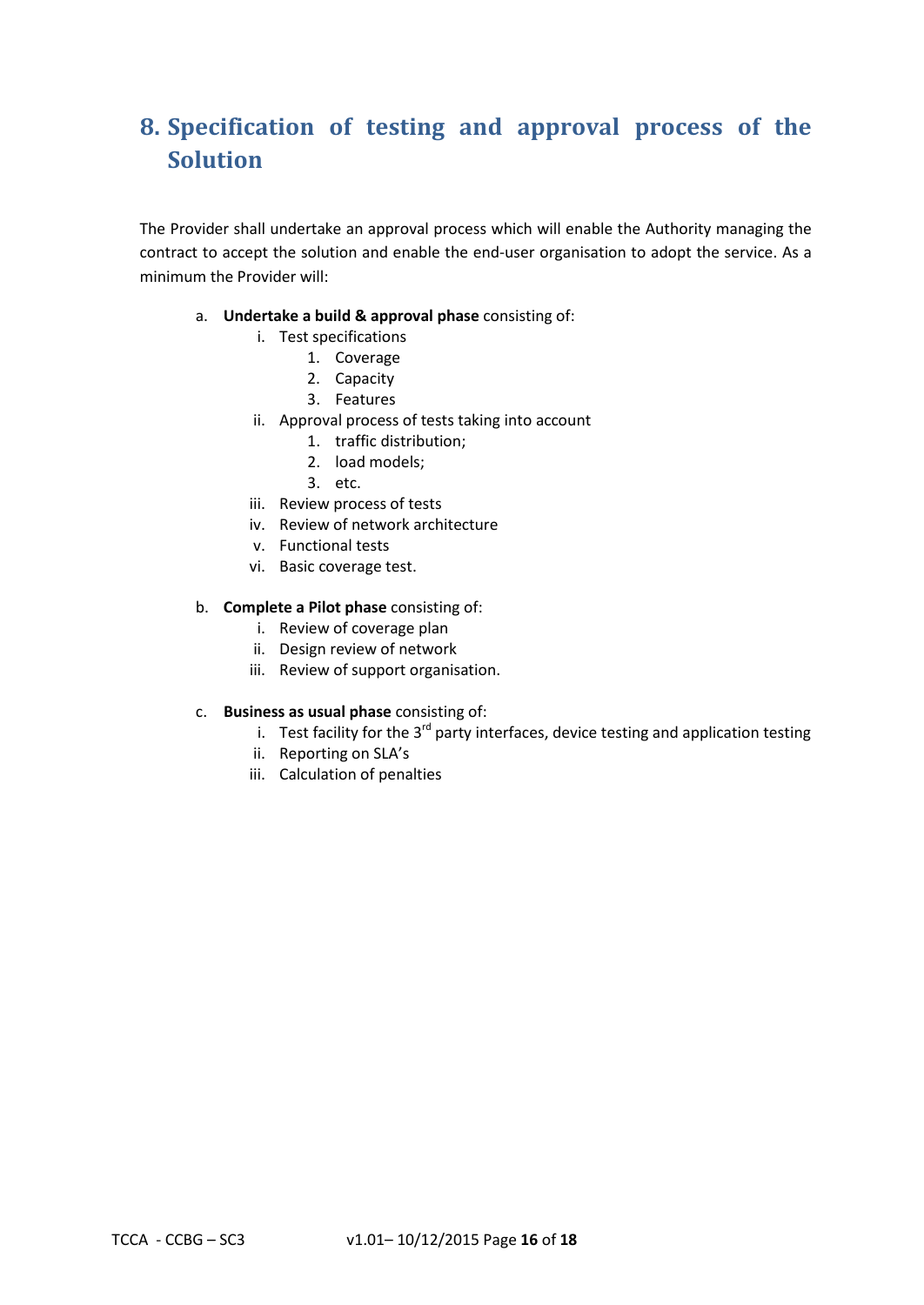# **8. Specification of testing and approval process of the Solution**

The Provider shall undertake an approval process which will enable the Authority managing the contract to accept the solution and enable the end-user organisation to adopt the service. As a minimum the Provider will:

- a. **Undertake a build & approval phase** consisting of:
	- i. Test specifications
		- 1. Coverage
		- 2. Capacity
		- 3. Features
	- ii. Approval process of tests taking into account
		- 1. traffic distribution;
		- 2. load models;
		- 3. etc.
	- iii. Review process of tests
	- iv. Review of network architecture
	- v. Functional tests
	- vi. Basic coverage test.

### b. **Complete a Pilot phase** consisting of:

- i. Review of coverage plan
- ii. Design review of network
- iii. Review of support organisation.
- c. **Business as usual phase** consisting of:
	- i. Test facility for the  $3^{rd}$  party interfaces, device testing and application testing
	- ii. Reporting on SLA's
	- iii. Calculation of penalties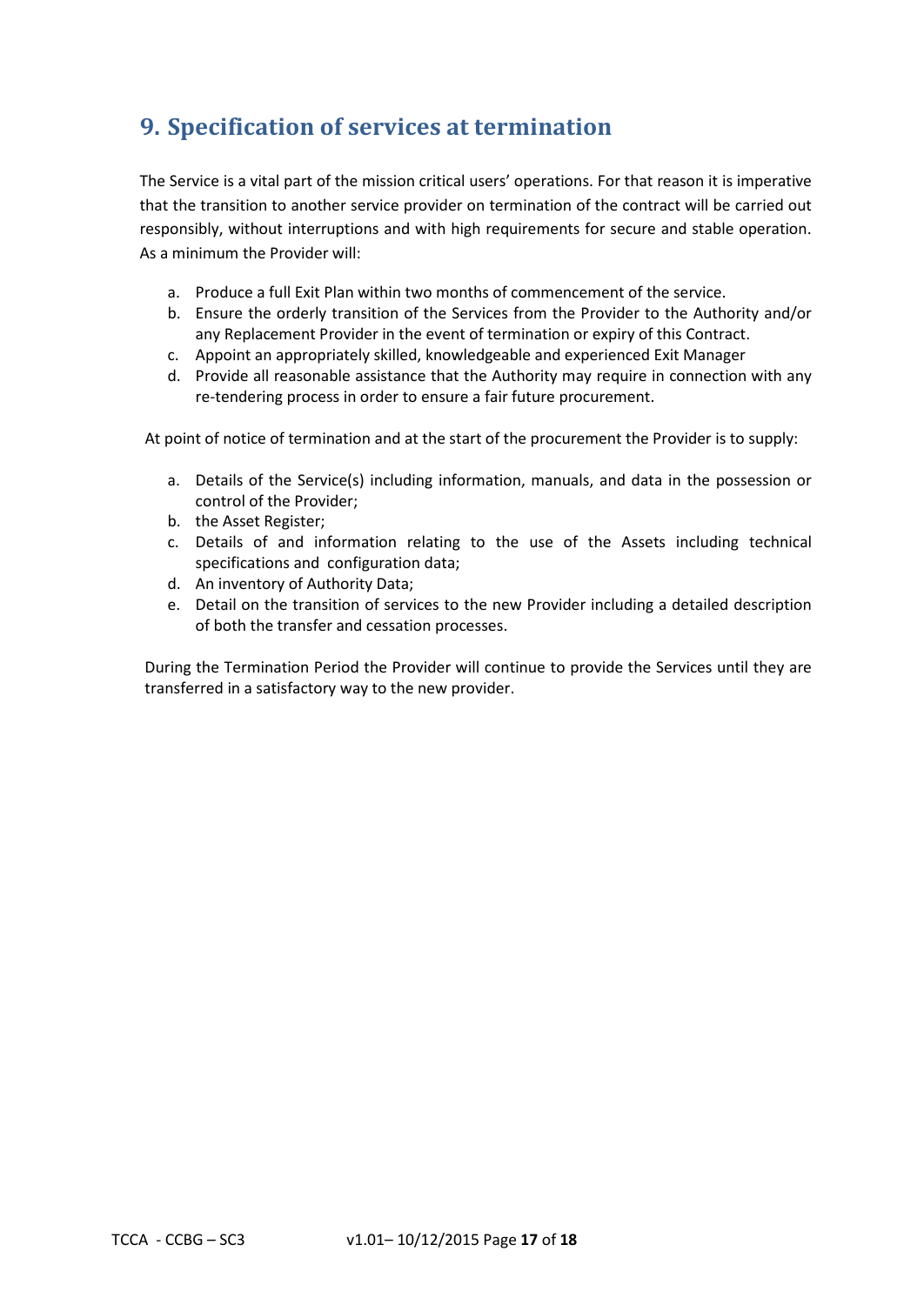# **9. Specification of services at termination**

The Service is a vital part of the mission critical users' operations. For that reason it is imperative that the transition to another service provider on termination of the contract will be carried out responsibly, without interruptions and with high requirements for secure and stable operation. As a minimum the Provider will:

- a. Produce a full Exit Plan within two months of commencement of the service.
- b. Ensure the orderly transition of the Services from the Provider to the Authority and/or any Replacement Provider in the event of termination or expiry of this Contract.
- c. Appoint an appropriately skilled, knowledgeable and experienced Exit Manager
- d. Provide all reasonable assistance that the Authority may require in connection with any re-tendering process in order to ensure a fair future procurement.

At point of notice of termination and at the start of the procurement the Provider is to supply:

- a. Details of the Service(s) including information, manuals, and data in the possession or control of the Provider;
- b. the Asset Register;
- c. Details of and information relating to the use of the Assets including technical specifications and configuration data;
- d. An inventory of Authority Data;
- e. Detail on the transition of services to the new Provider including a detailed description of both the transfer and cessation processes.

During the Termination Period the Provider will continue to provide the Services until they are transferred in a satisfactory way to the new provider.